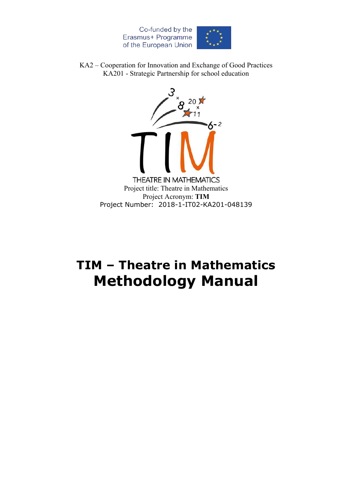

KA2 – Cooperation for Innovation and Exchange of Good Practices KA201 - Strategic Partnership for school education



# **TIM – Theatre in Mathematics Methodology Manual**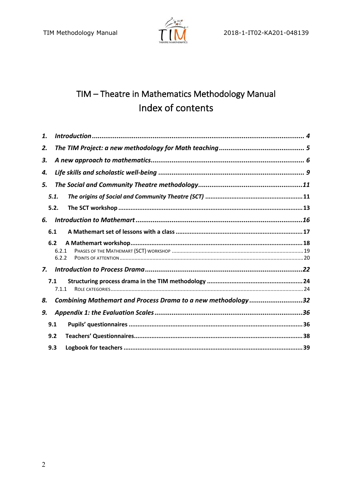

# TIM - Theatre in Mathematics Methodology Manual Index of contents

| 1. |                                                              |  |  |  |
|----|--------------------------------------------------------------|--|--|--|
| 2. |                                                              |  |  |  |
| 3. |                                                              |  |  |  |
| 4. |                                                              |  |  |  |
| 5. |                                                              |  |  |  |
|    | 5.1.                                                         |  |  |  |
|    | 5.2.                                                         |  |  |  |
| 6. |                                                              |  |  |  |
|    | 6.1                                                          |  |  |  |
|    | 6.2                                                          |  |  |  |
|    | 6.2.1                                                        |  |  |  |
|    | 6.2.2                                                        |  |  |  |
| 7. |                                                              |  |  |  |
|    | 7.1                                                          |  |  |  |
|    | 7.1.1                                                        |  |  |  |
| 8. | Combining Mathemart and Process Drama to a new methodology32 |  |  |  |
| 9. |                                                              |  |  |  |
|    | 9.1                                                          |  |  |  |
|    | 9.2                                                          |  |  |  |
|    | 9.3                                                          |  |  |  |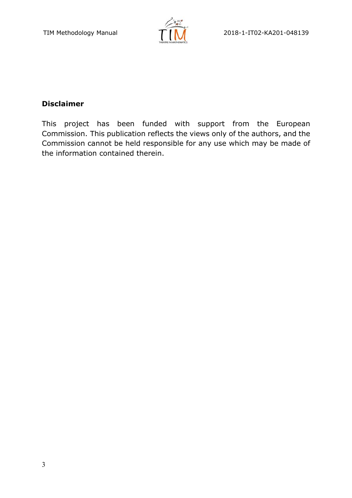

# **Disclaimer**

This project has been funded with support from the European Commission. This publication reflects the views only of the authors, and the Commission cannot be held responsible for any use which may be made of the information contained therein.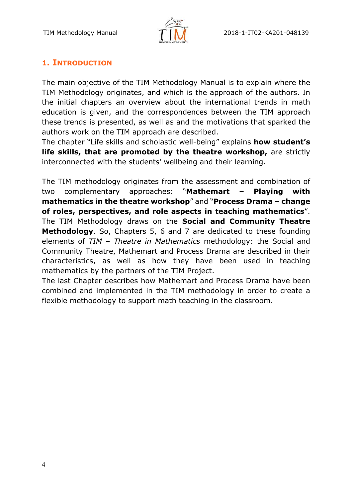

# **1. INTRODUCTION**

The main objective of the TIM Methodology Manual is to explain where the TIM Methodology originates, and which is the approach of the authors. In the initial chapters an overview about the international trends in math education is given, and the correspondences between the TIM approach these trends is presented, as well as and the motivations that sparked the authors work on the TIM approach are described.

The chapter "Life skills and scholastic well-being" explains **how student's life skills, that are promoted by the theatre workshop,** are strictly interconnected with the students' wellbeing and their learning.

The TIM methodology originates from the assessment and combination of two complementary approaches: "**Mathemart – Playing with mathematics in the theatre workshop**" and "**Process Drama – change of roles, perspectives, and role aspects in teaching mathematics**". The TIM Methodology draws on the **Social and Community Theatre Methodology**. So, Chapters 5, 6 and 7 are dedicated to these founding elements of *TIM – Theatre in Mathematics* methodology: the Social and Community Theatre, Mathemart and Process Drama are described in their characteristics, as well as how they have been used in teaching mathematics by the partners of the TIM Project.

The last Chapter describes how Mathemart and Process Drama have been combined and implemented in the TIM methodology in order to create a flexible methodology to support math teaching in the classroom.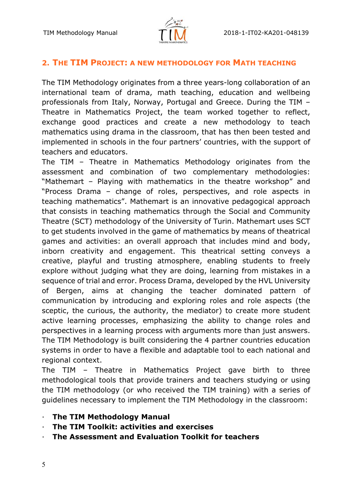

#### **2. THE TIM PROJECT: A NEW METHODOLOGY FOR MATH TEACHING**

The TIM Methodology originates from a three years-long collaboration of an international team of drama, math teaching, education and wellbeing professionals from Italy, Norway, Portugal and Greece. During the TIM – Theatre in Mathematics Project, the team worked together to reflect, exchange good practices and create a new methodology to teach mathematics using drama in the classroom, that has then been tested and implemented in schools in the four partners' countries, with the support of teachers and educators.

The TIM – Theatre in Mathematics Methodology originates from the assessment and combination of two complementary methodologies: "Mathemart – Playing with mathematics in the theatre workshop" and "Process Drama – change of roles, perspectives, and role aspects in teaching mathematics". Mathemart is an innovative pedagogical approach that consists in teaching mathematics through the Social and Community Theatre (SCT) methodology of the University of Turin. Mathemart uses SCT to get students involved in the game of mathematics by means of theatrical games and activities: an overall approach that includes mind and body, inborn creativity and engagement. This theatrical setting conveys a creative, playful and trusting atmosphere, enabling students to freely explore without judging what they are doing, learning from mistakes in a sequence of trial and error. Process Drama, developed by the HVL University of Bergen, aims at changing the teacher dominated pattern of communication by introducing and exploring roles and role aspects (the sceptic, the curious, the authority, the mediator) to create more student active learning processes, emphasizing the ability to change roles and perspectives in a learning process with arguments more than just answers. The TIM Methodology is built considering the 4 partner countries education systems in order to have a flexible and adaptable tool to each national and regional context.

The TIM – Theatre in Mathematics Project gave birth to three methodological tools that provide trainers and teachers studying or using the TIM methodology (or who received the TIM training) with a series of guidelines necessary to implement the TIM Methodology in the classroom:

- **The TIM Methodology Manual**
- · **The TIM Toolkit: activities and exercises**
- · **The Assessment and Evaluation Toolkit for teachers**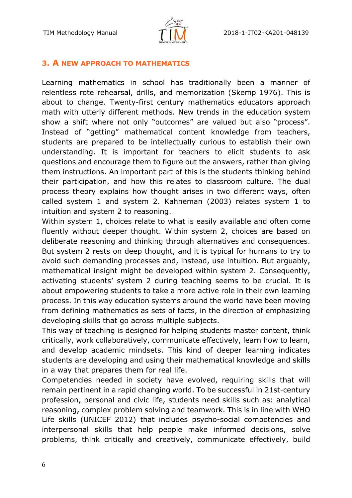

#### **3. A NEW APPROACH TO MATHEMATICS**

Learning mathematics in school has traditionally been a manner of relentless rote rehearsal, drills, and memorization (Skemp 1976). This is about to change. Twenty-first century mathematics educators approach math with utterly different methods. New trends in the education system show a shift where not only "outcomes" are valued but also "process". Instead of "getting" mathematical content knowledge from teachers, students are prepared to be intellectually curious to establish their own understanding. It is important for teachers to elicit students to ask questions and encourage them to figure out the answers, rather than giving them instructions. An important part of this is the students thinking behind their participation, and how this relates to classroom culture. The dual process theory explains how thought arises in two different ways, often called system 1 and system 2. Kahneman (2003) relates system 1 to intuition and system 2 to reasoning.

Within system 1, choices relate to what is easily available and often come fluently without deeper thought. Within system 2, choices are based on deliberate reasoning and thinking through alternatives and consequences. But system 2 rests on deep thought, and it is typical for humans to try to avoid such demanding processes and, instead, use intuition. But arguably, mathematical insight might be developed within system 2. Consequently, activating students' system 2 during teaching seems to be crucial. It is about empowering students to take a more active role in their own learning process. In this way education systems around the world have been moving from defining mathematics as sets of facts, in the direction of emphasizing developing skills that go across multiple subjects.

This way of teaching is designed for helping students master content, think critically, work collaboratively, communicate effectively, learn how to learn, and develop academic mindsets. This kind of deeper learning indicates students are developing and using their mathematical knowledge and skills in a way that prepares them for real life.

Competencies needed in society have evolved, requiring skills that will remain pertinent in a rapid changing world. To be successful in 21st-century profession, personal and civic life, students need skills such as: analytical reasoning, complex problem solving and teamwork. This is in line with WHO Life skills (UNICEF 2012) that includes psycho-social competencies and interpersonal skills that help people make informed decisions, solve problems, think critically and creatively, communicate effectively, build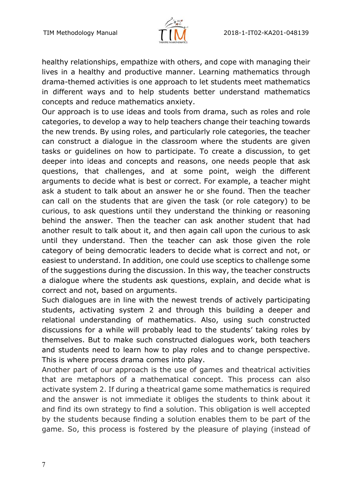

healthy relationships, empathize with others, and cope with managing their lives in a healthy and productive manner. Learning mathematics through drama-themed activities is one approach to let students meet mathematics in different ways and to help students better understand mathematics concepts and reduce mathematics anxiety.

Our approach is to use ideas and tools from drama, such as roles and role categories, to develop a way to help teachers change their teaching towards the new trends. By using roles, and particularly role categories, the teacher can construct a dialogue in the classroom where the students are given tasks or guidelines on how to participate. To create a discussion, to get deeper into ideas and concepts and reasons, one needs people that ask questions, that challenges, and at some point, weigh the different arguments to decide what is best or correct. For example, a teacher might ask a student to talk about an answer he or she found. Then the teacher can call on the students that are given the task (or role category) to be curious, to ask questions until they understand the thinking or reasoning behind the answer. Then the teacher can ask another student that had another result to talk about it, and then again call upon the curious to ask until they understand. Then the teacher can ask those given the role category of being democratic leaders to decide what is correct and not, or easiest to understand. In addition, one could use sceptics to challenge some of the suggestions during the discussion. In this way, the teacher constructs a dialogue where the students ask questions, explain, and decide what is correct and not, based on arguments.

Such dialogues are in line with the newest trends of actively participating students, activating system 2 and through this building a deeper and relational understanding of mathematics. Also, using such constructed discussions for a while will probably lead to the students' taking roles by themselves. But to make such constructed dialogues work, both teachers and students need to learn how to play roles and to change perspective. This is where process drama comes into play.

Another part of our approach is the use of games and theatrical activities that are metaphors of a mathematical concept. This process can also activate system 2. If during a theatrical game some mathematics is required and the answer is not immediate it obliges the students to think about it and find its own strategy to find a solution. This obligation is well accepted by the students because finding a solution enables them to be part of the game. So, this process is fostered by the pleasure of playing (instead of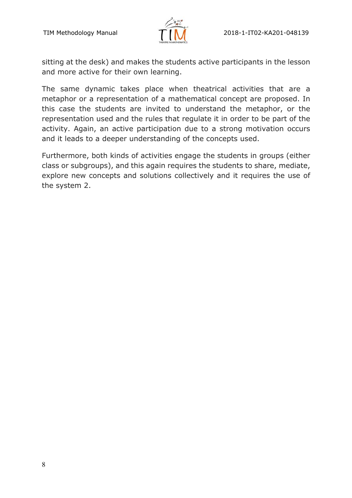

sitting at the desk) and makes the students active participants in the lesson and more active for their own learning.

The same dynamic takes place when theatrical activities that are a metaphor or a representation of a mathematical concept are proposed. In this case the students are invited to understand the metaphor, or the representation used and the rules that regulate it in order to be part of the activity. Again, an active participation due to a strong motivation occurs and it leads to a deeper understanding of the concepts used.

Furthermore, both kinds of activities engage the students in groups (either class or subgroups), and this again requires the students to share, mediate, explore new concepts and solutions collectively and it requires the use of the system 2.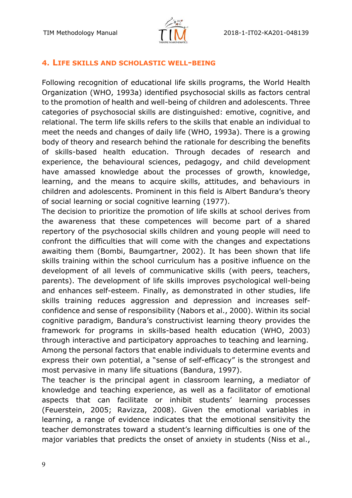

#### **4. LIFE SKILLS AND SCHOLASTIC WELL-BEING**

Following recognition of educational life skills programs, the World Health Organization (WHO, 1993a) identified psychosocial skills as factors central to the promotion of health and well-being of children and adolescents. Three categories of psychosocial skills are distinguished: emotive, cognitive, and relational. The term life skills refers to the skills that enable an individual to meet the needs and changes of daily life (WHO, 1993a). There is a growing body of theory and research behind the rationale for describing the benefits of skills-based health education. Through decades of research and experience, the behavioural sciences, pedagogy, and child development have amassed knowledge about the processes of growth, knowledge, learning, and the means to acquire skills, attitudes, and behaviours in children and adolescents. Prominent in this field is Albert Bandura's theory of social learning or social cognitive learning (1977).

The decision to prioritize the promotion of life skills at school derives from the awareness that these competences will become part of a shared repertory of the psychosocial skills children and young people will need to confront the difficulties that will come with the changes and expectations awaiting them (Bombi, Baumgartner, 2002). It has been shown that life skills training within the school curriculum has a positive influence on the development of all levels of communicative skills (with peers, teachers, parents). The development of life skills improves psychological well-being and enhances self-esteem. Finally, as demonstrated in other studies, life skills training reduces aggression and depression and increases selfconfidence and sense of responsibility (Nabors et al., 2000). Within its social cognitive paradigm, Bandura's constructivist learning theory provides the framework for programs in skills-based health education (WHO, 2003) through interactive and participatory approaches to teaching and learning. Among the personal factors that enable individuals to determine events and express their own potential, a "sense of self-efficacy" is the strongest and most pervasive in many life situations (Bandura, 1997).

The teacher is the principal agent in classroom learning, a mediator of knowledge and teaching experience, as well as a facilitator of emotional aspects that can facilitate or inhibit students' learning processes (Feuerstein, 2005; Ravizza, 2008). Given the emotional variables in learning, a range of evidence indicates that the emotional sensitivity the teacher demonstrates toward a student's learning difficulties is one of the major variables that predicts the onset of anxiety in students (Niss et al.,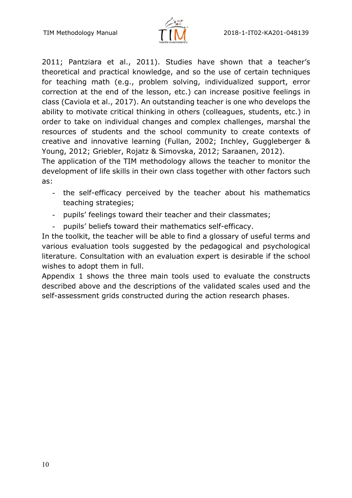

2011; Pantziara et al., 2011). Studies have shown that a teacher's theoretical and practical knowledge, and so the use of certain techniques for teaching math (e.g., problem solving, individualized support, error correction at the end of the lesson, etc.) can increase positive feelings in class (Caviola et al., 2017). An outstanding teacher is one who develops the ability to motivate critical thinking in others (colleagues, students, etc.) in order to take on individual changes and complex challenges, marshal the resources of students and the school community to create contexts of creative and innovative learning (Fullan, 2002; Inchley, Guggleberger & Young, 2012; Griebler, Rojatz & Simovska, 2012; Saraanen, 2012).

The application of the TIM methodology allows the teacher to monitor the development of life skills in their own class together with other factors such as:

- the self-efficacy perceived by the teacher about his mathematics teaching strategies;
- ! pupils' feelings toward their teacher and their classmates;
- pupils' beliefs toward their mathematics self-efficacy.

In the toolkit, the teacher will be able to find a glossary of useful terms and various evaluation tools suggested by the pedagogical and psychological literature. Consultation with an evaluation expert is desirable if the school wishes to adopt them in full.

Appendix 1 shows the three main tools used to evaluate the constructs described above and the descriptions of the validated scales used and the self-assessment grids constructed during the action research phases.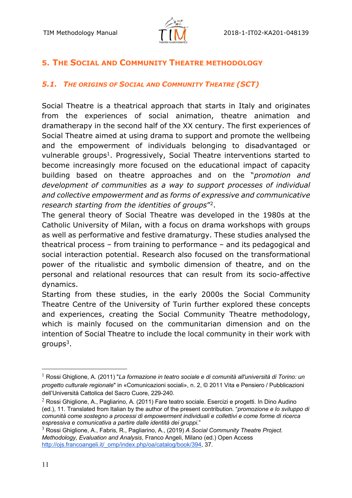

# **5. THE SOCIAL AND COMMUNITY THEATRE METHODOLOGY**

#### *5.1. THE ORIGINS OF SOCIAL AND COMMUNITY THEATRE (SCT)*

Social Theatre is a theatrical approach that starts in Italy and originates from the experiences of social animation, theatre animation and dramatherapy in the second half of the XX century. The first experiences of Social Theatre aimed at using drama to support and promote the wellbeing and the empowerment of individuals belonging to disadvantaged or vulnerable groups<sup>1</sup>. Progressively, Social Theatre interventions started to become increasingly more focused on the educational impact of capacity building based on theatre approaches and on the "*promotion and development of communities as a way to support processes of individual and collective empowerment and as forms of expressive and communicative research starting from the identities of groups*"2.

The general theory of Social Theatre was developed in the 1980s at the Catholic University of Milan, with a focus on drama workshops with groups as well as performative and festive dramaturgy. These studies analysed the theatrical process – from training to performance – and its pedagogical and social interaction potential. Research also focused on the transformational power of the ritualistic and symbolic dimension of theatre, and on the personal and relational resources that can result from its socio-affective dynamics.

Starting from these studies, in the early 2000s the Social Community Theatre Centre of the University of Turin further explored these concepts and experiences, creating the Social Community Theatre methodology, which is mainly focused on the communitarian dimension and on the intention of Social Theatre to include the local community in their work with  $q$ roups $3$ .

<sup>1</sup> Rossi Ghiglione, A. (2011) "*La formazione in teatro sociale e di comunità all'università di Torino: un progetto culturale regionale*" in «Comunicazioni sociali», n. 2, © 2011 Vita e Pensiero / Pubblicazioni dell'Università Cattolica del Sacro Cuore, 229-240.

 $2$  Rossi Ghiglione, A., Pagliarino, A. (2011) Fare teatro sociale. Esercizi e progetti. In Dino Audino (ed.), 11. Translated from Italian by the author of the present contribution. "*promozione e lo sviluppo di comunità come sostegno a processi di empowerment individuali e collettivi e come forme di ricerca espressiva e comunicativa a partire dalle identità dei gruppi.*"

<sup>3</sup> Rossi Ghiglione, A., Fabris, R., Pagliarino, A., (2019) *A Social Community Theatre Project. Methodology, Evaluation and Analysis*, Franco Angeli, Milano (ed.) Open Access http://ojs.francoangeli.it/\_omp/index.php/oa/catalog/book/394, 37.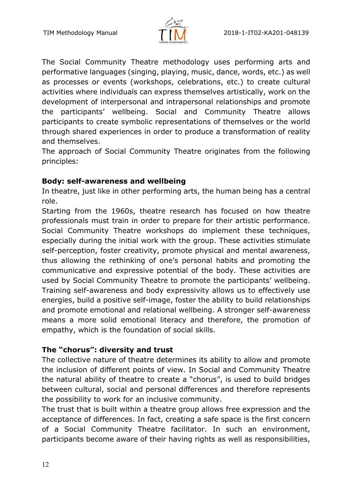

The Social Community Theatre methodology uses performing arts and performative languages (singing, playing, music, dance, words, etc.) as well as processes or events (workshops, celebrations, etc.) to create cultural activities where individuals can express themselves artistically, work on the development of interpersonal and intrapersonal relationships and promote the participants' wellbeing. Social and Community Theatre allows participants to create symbolic representations of themselves or the world through shared experiences in order to produce a transformation of reality and themselves.

The approach of Social Community Theatre originates from the following principles:

## **Body: self-awareness and wellbeing**

In theatre, just like in other performing arts, the human being has a central role.

Starting from the 1960s, theatre research has focused on how theatre professionals must train in order to prepare for their artistic performance. Social Community Theatre workshops do implement these techniques, especially during the initial work with the group. These activities stimulate self-perception, foster creativity, promote physical and mental awareness, thus allowing the rethinking of one's personal habits and promoting the communicative and expressive potential of the body. These activities are used by Social Community Theatre to promote the participants' wellbeing. Training self-awareness and body expressivity allows us to effectively use energies, build a positive self-image, foster the ability to build relationships and promote emotional and relational wellbeing. A stronger self-awareness means a more solid emotional literacy and therefore, the promotion of empathy, which is the foundation of social skills.

## **The "chorus": diversity and trust**

The collective nature of theatre determines its ability to allow and promote the inclusion of different points of view. In Social and Community Theatre the natural ability of theatre to create a "chorus", is used to build bridges between cultural, social and personal differences and therefore represents the possibility to work for an inclusive community.

The trust that is built within a theatre group allows free expression and the acceptance of differences. In fact, creating a safe space is the first concern of a Social Community Theatre facilitator. In such an environment, participants become aware of their having rights as well as responsibilities,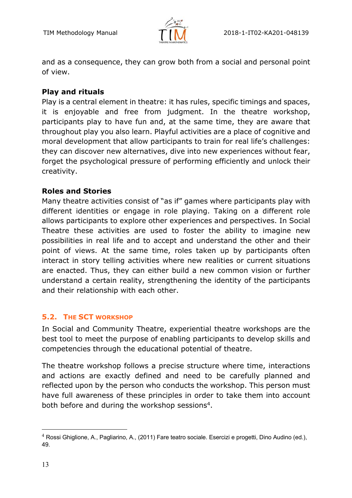

and as a consequence, they can grow both from a social and personal point of view.

#### **Play and rituals**

Play is a central element in theatre: it has rules, specific timings and spaces, it is enjoyable and free from judgment. In the theatre workshop, participants play to have fun and, at the same time, they are aware that throughout play you also learn. Playful activities are a place of cognitive and moral development that allow participants to train for real life's challenges: they can discover new alternatives, dive into new experiences without fear, forget the psychological pressure of performing efficiently and unlock their creativity.

#### **Roles and Stories**

Many theatre activities consist of "as if" games where participants play with different identities or engage in role playing. Taking on a different role allows participants to explore other experiences and perspectives. In Social Theatre these activities are used to foster the ability to imagine new possibilities in real life and to accept and understand the other and their point of views. At the same time, roles taken up by participants often interact in story telling activities where new realities or current situations are enacted. Thus, they can either build a new common vision or further understand a certain reality, strengthening the identity of the participants and their relationship with each other.

#### **5.2. THE SCT WORKSHOP**

In Social and Community Theatre, experiential theatre workshops are the best tool to meet the purpose of enabling participants to develop skills and competencies through the educational potential of theatre.

The theatre workshop follows a precise structure where time, interactions and actions are exactly defined and need to be carefully planned and reflected upon by the person who conducts the workshop. This person must have full awareness of these principles in order to take them into account both before and during the workshop sessions<sup>4</sup>.

<sup>4</sup> Rossi Ghiglione, A., Pagliarino, A., (2011) Fare teatro sociale. Esercizi e progetti, Dino Audino (ed.), 49.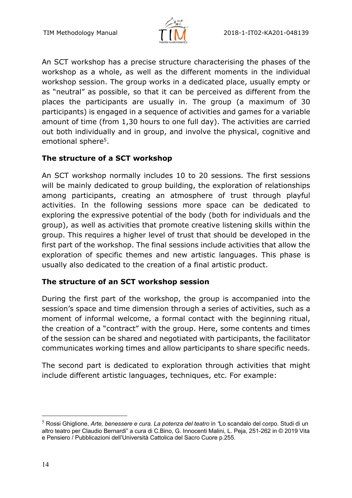

An SCT workshop has a precise structure characterising the phases of the workshop as a whole, as well as the different moments in the individual workshop session. The group works in a dedicated place, usually empty or as "neutral" as possible, so that it can be perceived as different from the places the participants are usually in. The group (a maximum of 30 participants) is engaged in a sequence of activities and games for a variable amount of time (from 1,30 hours to one full day). The activities are carried out both individually and in group, and involve the physical, cognitive and emotional sphere<sup>5</sup>.

## **The structure of a SCT workshop**

An SCT workshop normally includes 10 to 20 sessions. The first sessions will be mainly dedicated to group building, the exploration of relationships among participants, creating an atmosphere of trust through playful activities. In the following sessions more space can be dedicated to exploring the expressive potential of the body (both for individuals and the group), as well as activities that promote creative listening skills within the group. This requires a higher level of trust that should be developed in the first part of the workshop. The final sessions include activities that allow the exploration of specific themes and new artistic languages. This phase is usually also dedicated to the creation of a final artistic product.

## **The structure of an SCT workshop session**

During the first part of the workshop, the group is accompanied into the session's space and time dimension through a series of activities, such as a moment of informal welcome, a formal contact with the beginning ritual, the creation of a "contract" with the group. Here, some contents and times of the session can be shared and negotiated with participants, the facilitator communicates working times and allow participants to share specific needs.

The second part is dedicated to exploration through activities that might include different artistic languages, techniques, etc. For example:

<sup>5</sup> Rossi Ghiglione, *Arte, benessere e cura. La potenza del teatro* in *"*Lo scandalo del corpo. Studi di un altro teatro per Claudio Bernardi" a cura di C.Bino, G. Innocenti Malini, L. Peja, 251-262 in © 2019 Vita e Pensiero / Pubblicazioni dell'Università Cattolica del Sacro Cuore p.255.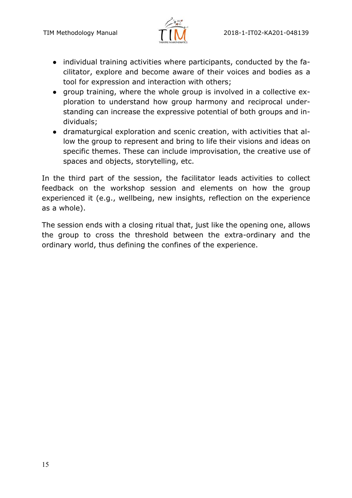

- individual training activities where participants, conducted by the facilitator, explore and become aware of their voices and bodies as a tool for expression and interaction with others;
- group training, where the whole group is involved in a collective exploration to understand how group harmony and reciprocal understanding can increase the expressive potential of both groups and individuals;
- dramaturgical exploration and scenic creation, with activities that allow the group to represent and bring to life their visions and ideas on specific themes. These can include improvisation, the creative use of spaces and objects, storytelling, etc.

In the third part of the session, the facilitator leads activities to collect feedback on the workshop session and elements on how the group experienced it (e.g., wellbeing, new insights, reflection on the experience as a whole).

The session ends with a closing ritual that, just like the opening one, allows the group to cross the threshold between the extra-ordinary and the ordinary world, thus defining the confines of the experience.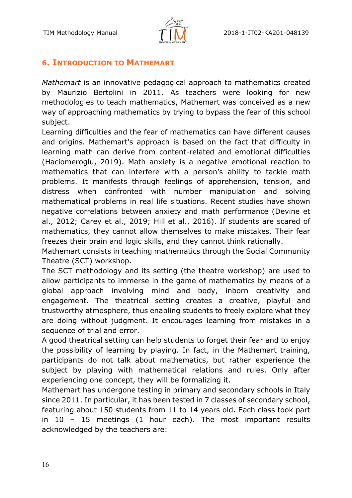



### **6. INTRODUCTION TO MATHEMART**

*Mathemart* is an innovative pedagogical approach to mathematics created by Maurizio Bertolini in 2011. As teachers were looking for new methodologies to teach mathematics, Mathemart was conceived as a new way of approaching mathematics by trying to bypass the fear of this school subject.

Learning difficulties and the fear of mathematics can have different causes and origins. Mathemart's approach is based on the fact that difficulty in learning math can derive from content-related and emotional difficulties (Haciomeroglu, 2019). Math anxiety is a negative emotional reaction to mathematics that can interfere with a person's ability to tackle math problems. It manifests through feelings of apprehension, tension, and distress when confronted with number manipulation and solving mathematical problems in real life situations. Recent studies have shown negative correlations between anxiety and math performance (Devine et al., 2012; Carey et al., 2019; Hill et al., 2016). If students are scared of mathematics, they cannot allow themselves to make mistakes. Their fear freezes their brain and logic skills, and they cannot think rationally.

Mathemart consists in teaching mathematics through the Social Community Theatre (SCT) workshop.

The SCT methodology and its setting (the theatre workshop) are used to allow participants to immerse in the game of mathematics by means of a global approach involving mind and body, inborn creativity and engagement. The theatrical setting creates a creative, playful and trustworthy atmosphere, thus enabling students to freely explore what they are doing without judgment. It encourages learning from mistakes in a sequence of trial and error.

A good theatrical setting can help students to forget their fear and to enjoy the possibility of learning by playing. In fact, in the Mathemart training, participants do not talk about mathematics, but rather experience the subject by playing with mathematical relations and rules. Only after experiencing one concept, they will be formalizing it.

Mathemart has undergone testing in primary and secondary schools in Italy since 2011. In particular, it has been tested in 7 classes of secondary school, featuring about 150 students from 11 to 14 years old. Each class took part in 10 – 15 meetings (1 hour each). The most important results acknowledged by the teachers are: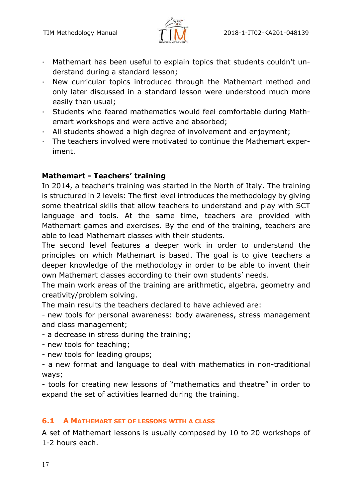

- · Mathemart has been useful to explain topics that students couldn't understand during a standard lesson;
- · New curricular topics introduced through the Mathemart method and only later discussed in a standard lesson were understood much more easily than usual;
- · Students who feared mathematics would feel comfortable during Mathemart workshops and were active and absorbed;
- · All students showed a high degree of involvement and enjoyment;
- · The teachers involved were motivated to continue the Mathemart experiment.

## **Mathemart - Teachers' training**

In 2014, a teacher's training was started in the North of Italy. The training is structured in 2 levels: The first level introduces the methodology by giving some theatrical skills that allow teachers to understand and play with SCT language and tools. At the same time, teachers are provided with Mathemart games and exercises. By the end of the training, teachers are able to lead Mathemart classes with their students.

The second level features a deeper work in order to understand the principles on which Mathemart is based. The goal is to give teachers a deeper knowledge of the methodology in order to be able to invent their own Mathemart classes according to their own students' needs.

The main work areas of the training are arithmetic, algebra, geometry and creativity/problem solving.

The main results the teachers declared to have achieved are:

- new tools for personal awareness: body awareness, stress management and class management;

- a decrease in stress during the training;

- new tools for teaching;
- new tools for leading groups;
- a new format and language to deal with mathematics in non-traditional ways;

- tools for creating new lessons of "mathematics and theatre" in order to expand the set of activities learned during the training.

## **6.1 A MATHEMART SET OF LESSONS WITH A CLASS**

A set of Mathemart lessons is usually composed by 10 to 20 workshops of 1-2 hours each.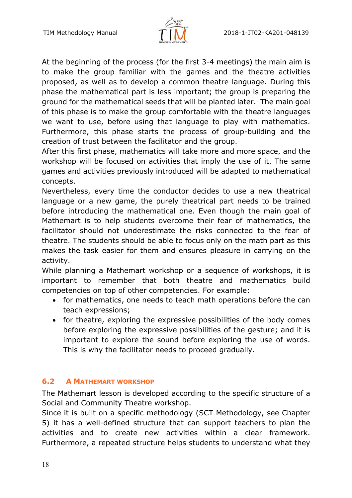

At the beginning of the process (for the first 3-4 meetings) the main aim is to make the group familiar with the games and the theatre activities proposed, as well as to develop a common theatre language. During this phase the mathematical part is less important; the group is preparing the ground for the mathematical seeds that will be planted later. The main goal of this phase is to make the group comfortable with the theatre languages we want to use, before using that language to play with mathematics. Furthermore, this phase starts the process of group-building and the creation of trust between the facilitator and the group.

After this first phase, mathematics will take more and more space, and the workshop will be focused on activities that imply the use of it. The same games and activities previously introduced will be adapted to mathematical concepts.

Nevertheless, every time the conductor decides to use a new theatrical language or a new game, the purely theatrical part needs to be trained before introducing the mathematical one. Even though the main goal of Mathemart is to help students overcome their fear of mathematics, the facilitator should not underestimate the risks connected to the fear of theatre. The students should be able to focus only on the math part as this makes the task easier for them and ensures pleasure in carrying on the activity.

While planning a Mathemart workshop or a sequence of workshops, it is important to remember that both theatre and mathematics build competencies on top of other competencies. For example:

- for mathematics, one needs to teach math operations before the can teach expressions;
- for theatre, exploring the expressive possibilities of the body comes before exploring the expressive possibilities of the gesture; and it is important to explore the sound before exploring the use of words. This is why the facilitator needs to proceed gradually.

## **6.2 A MATHEMART WORKSHOP**

The Mathemart lesson is developed according to the specific structure of a Social and Community Theatre workshop.

Since it is built on a specific methodology (SCT Methodology, see Chapter 5) it has a well-defined structure that can support teachers to plan the activities and to create new activities within a clear framework. Furthermore, a repeated structure helps students to understand what they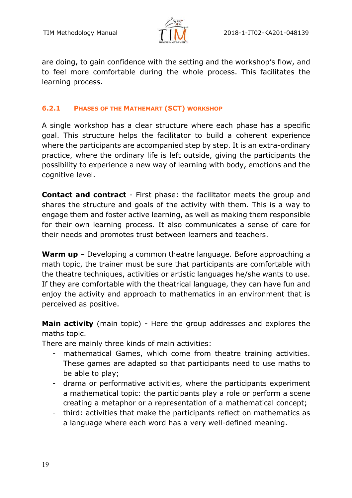

are doing, to gain confidence with the setting and the workshop's flow, and to feel more comfortable during the whole process. This facilitates the learning process.

#### **6.2.1 PHASES OF THE MATHEMART (SCT) WORKSHOP**

A single workshop has a clear structure where each phase has a specific goal. This structure helps the facilitator to build a coherent experience where the participants are accompanied step by step. It is an extra-ordinary practice, where the ordinary life is left outside, giving the participants the possibility to experience a new way of learning with body, emotions and the cognitive level.

**Contact and contract** - First phase: the facilitator meets the group and shares the structure and goals of the activity with them. This is a way to engage them and foster active learning, as well as making them responsible for their own learning process. It also communicates a sense of care for their needs and promotes trust between learners and teachers.

**Warm up** – Developing a common theatre language. Before approaching a math topic, the trainer must be sure that participants are comfortable with the theatre techniques, activities or artistic languages he/she wants to use. If they are comfortable with the theatrical language, they can have fun and enjoy the activity and approach to mathematics in an environment that is perceived as positive.

**Main activity** (main topic) - Here the group addresses and explores the maths topic.

There are mainly three kinds of main activities:

- mathematical Games, which come from theatre training activities. These games are adapted so that participants need to use maths to be able to play;
- drama or performative activities, where the participants experiment a mathematical topic: the participants play a role or perform a scene creating a metaphor or a representation of a mathematical concept;
- third: activities that make the participants reflect on mathematics as a language where each word has a very well-defined meaning.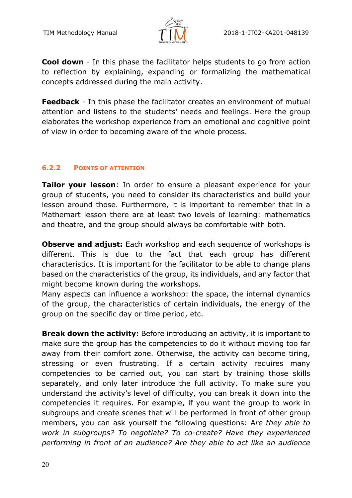

**Cool down** - In this phase the facilitator helps students to go from action to reflection by explaining, expanding or formalizing the mathematical concepts addressed during the main activity.

**Feedback** - In this phase the facilitator creates an environment of mutual attention and listens to the students' needs and feelings. Here the group elaborates the workshop experience from an emotional and cognitive point of view in order to becoming aware of the whole process.

#### **6.2.2 POINTS OF ATTENTION**

**Tailor your lesson**: In order to ensure a pleasant experience for your group of students, you need to consider its characteristics and build your lesson around those. Furthermore, it is important to remember that in a Mathemart lesson there are at least two levels of learning: mathematics and theatre, and the group should always be comfortable with both.

**Observe and adjust:** Each workshop and each sequence of workshops is different. This is due to the fact that each group has different characteristics. It is important for the facilitator to be able to change plans based on the characteristics of the group, its individuals, and any factor that might become known during the workshops.

Many aspects can influence a workshop: the space, the internal dynamics of the group, the characteristics of certain individuals, the energy of the group on the specific day or time period, etc.

**Break down the activity:** Before introducing an activity, it is important to make sure the group has the competencies to do it without moving too far away from their comfort zone. Otherwise, the activity can become tiring, stressing or even frustrating. If a certain activity requires many competencies to be carried out, you can start by training those skills separately, and only later introduce the full activity. To make sure you understand the activity's level of difficulty, you can break it down into the competencies it requires. For example, if you want the group to work in subgroups and create scenes that will be performed in front of other group members, you can ask yourself the following questions: A*re they able to work in subgroups? To negotiate? To co-create? Have they experienced performing in front of an audience? Are they able to act like an audience*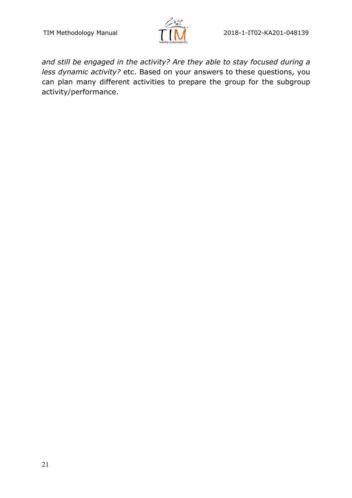

*and still be engaged in the activity? Are they able to stay focused during a less dynamic activity?* etc. Based on your answers to these questions, you can plan many different activities to prepare the group for the subgroup activity/performance.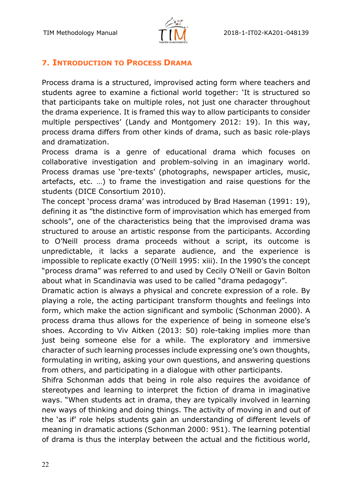

## **7. INTRODUCTION TO PROCESS DRAMA**

Process drama is a structured, improvised acting form where teachers and students agree to examine a fictional world together: 'It is structured so that participants take on multiple roles, not just one character throughout the drama experience. It is framed this way to allow participants to consider multiple perspectives' (Landy and Montgomery 2012: 19). In this way, process drama differs from other kinds of drama, such as basic role-plays and dramatization.

Process drama is a genre of educational drama which focuses on collaborative investigation and problem-solving in an imaginary world. Process dramas use 'pre-texts' (photographs, newspaper articles, music, artefacts, etc. …) to frame the investigation and raise questions for the students (DICE Consortium 2010).

The concept 'process drama' was introduced by Brad Haseman (1991: 19), defining it as "the distinctive form of improvisation which has emerged from schools", one of the characteristics being that the improvised drama was structured to arouse an artistic response from the participants. According to O'Neill process drama proceeds without a script, its outcome is unpredictable, it lacks a separate audience, and the experience is impossible to replicate exactly (O'Neill 1995: xiii). In the 1990's the concept "process drama" was referred to and used by Cecily O'Neill or Gavin Bolton about what in Scandinavia was used to be called "drama pedagogy".

Dramatic action is always a physical and concrete expression of a role. By playing a role, the acting participant transform thoughts and feelings into form, which make the action significant and symbolic (Schonman 2000). A process drama thus allows for the experience of being in someone else's shoes. According to Viv Aitken (2013: 50) role-taking implies more than just being someone else for a while. The exploratory and immersive character of such learning processes include expressing one's own thoughts, formulating in writing, asking your own questions, and answering questions from others, and participating in a dialogue with other participants.

Shifra Schonman adds that being in role also requires the avoidance of stereotypes and learning to interpret the fiction of drama in imaginative ways. "When students act in drama, they are typically involved in learning new ways of thinking and doing things. The activity of moving in and out of the 'as if' role helps students gain an understanding of different levels of meaning in dramatic actions (Schonman 2000: 951). The learning potential of drama is thus the interplay between the actual and the fictitious world,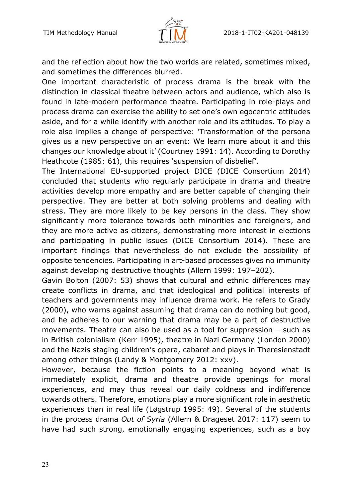

and the reflection about how the two worlds are related, sometimes mixed, and sometimes the differences blurred.

One important characteristic of process drama is the break with the distinction in classical theatre between actors and audience, which also is found in late-modern performance theatre. Participating in role-plays and process drama can exercise the ability to set one's own egocentric attitudes aside, and for a while identify with another role and its attitudes. To play a role also implies a change of perspective: 'Transformation of the persona gives us a new perspective on an event: We learn more about it and this changes our knowledge about it' (Courtney 1991: 14). According to Dorothy Heathcote (1985: 61), this requires 'suspension of disbelief'.

The International EU-supported project DICE (DICE Consortium 2014) concluded that students who regularly participate in drama and theatre activities develop more empathy and are better capable of changing their perspective. They are better at both solving problems and dealing with stress. They are more likely to be key persons in the class. They show significantly more tolerance towards both minorities and foreigners, and they are more active as citizens, demonstrating more interest in elections and participating in public issues (DICE Consortium 2014). These are important findings that nevertheless do not exclude the possibility of opposite tendencies. Participating in art-based processes gives no immunity against developing destructive thoughts (Allern 1999: 197–202).

Gavin Bolton (2007: 53) shows that cultural and ethnic differences may create conflicts in drama, and that ideological and political interests of teachers and governments may influence drama work. He refers to Grady (2000), who warns against assuming that drama can do nothing but good, and he adheres to our warning that drama may be a part of destructive movements. Theatre can also be used as a tool for suppression – such as in British colonialism (Kerr 1995), theatre in Nazi Germany (London 2000) and the Nazis staging children's opera, cabaret and plays in Theresienstadt among other things (Landy & Montgomery 2012: xxv).

However, because the fiction points to a meaning beyond what is immediately explicit, drama and theatre provide openings for moral experiences, and may thus reveal our daily coldness and indifference towards others. Therefore, emotions play a more significant role in aesthetic experiences than in real life (Løgstrup 1995: 49). Several of the students in the process drama *Out of Syria* (Allern & Drageset 2017: 117) seem to have had such strong, emotionally engaging experiences, such as a boy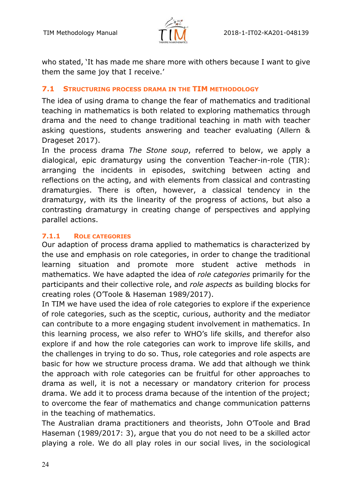

who stated, 'It has made me share more with others because I want to give them the same joy that I receive.'

#### **7.1 STRUCTURING PROCESS DRAMA IN THE TIM METHODOLOGY**

The idea of using drama to change the fear of mathematics and traditional teaching in mathematics is both related to exploring mathematics through drama and the need to change traditional teaching in math with teacher asking questions, students answering and teacher evaluating (Allern & Drageset 2017).

In the process drama *The Stone soup*, referred to below, we apply a dialogical, epic dramaturgy using the convention Teacher-in-role (TIR): arranging the incidents in episodes, switching between acting and reflections on the acting, and with elements from classical and contrasting dramaturgies. There is often, however, a classical tendency in the dramaturgy, with its the linearity of the progress of actions, but also a contrasting dramaturgy in creating change of perspectives and applying parallel actions.

#### **7.1.1 ROLE CATEGORIES**

Our adaption of process drama applied to mathematics is characterized by the use and emphasis on role categories, in order to change the traditional learning situation and promote more student active methods in mathematics. We have adapted the idea of *role categories* primarily for the participants and their collective role, and *role aspects* as building blocks for creating roles (O'Toole & Haseman 1989/2017).

In TIM we have used the idea of role categories to explore if the experience of role categories, such as the sceptic, curious, authority and the mediator can contribute to a more engaging student involvement in mathematics. In this learning process, we also refer to WHO's life skills, and therefor also explore if and how the role categories can work to improve life skills, and the challenges in trying to do so. Thus, role categories and role aspects are basic for how we structure process drama. We add that although we think the approach with role categories can be fruitful for other approaches to drama as well, it is not a necessary or mandatory criterion for process drama. We add it to process drama because of the intention of the project; to overcome the fear of mathematics and change communication patterns in the teaching of mathematics.

The Australian drama practitioners and theorists, John O'Toole and Brad Haseman (1989/2017: 3), argue that you do not need to be a skilled actor playing a role. We do all play roles in our social lives, in the sociological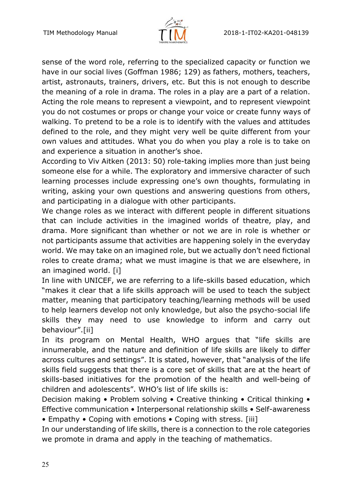

sense of the word role, referring to the specialized capacity or function we have in our social lives (Goffman 1986; 129) as fathers, mothers, teachers, artist, astronauts, trainers, drivers, etc. But this is not enough to describe the meaning of a role in drama. The roles in a play are a part of a relation. Acting the role means to represent a viewpoint, and to represent viewpoint you do not costumes or props or change your voice or create funny ways of walking. To pretend to be a role is to identify with the values and attitudes defined to the role, and they might very well be quite different from your own values and attitudes. What you do when you play a role is to take on and experience a situation in another's shoe.

According to Viv Aitken (2013: 50) role-taking implies more than just being someone else for a while. The exploratory and immersive character of such learning processes include expressing one's own thoughts, formulating in writing, asking your own questions and answering questions from others, and participating in a dialogue with other participants.

We change roles as we interact with different people in different situations that can include activities in the imagined worlds of theatre, play, and drama. More significant than whether or not we are in role is whether or not participants assume that activities are happening solely in the everyday world. We may take on an imagined role, but we actually don't need fictional roles to create drama; what we must imagine is that we are elsewhere, in an imagined world. [i]

In line with UNICEF, we are referring to a life-skills based education, which "makes it clear that a life skills approach will be used to teach the subject matter, meaning that participatory teaching/learning methods will be used to help learners develop not only knowledge, but also the psycho-social life skills they may need to use knowledge to inform and carry out behaviour".[ii]

In its program on Mental Health, WHO argues that "life skills are innumerable, and the nature and definition of life skills are likely to differ across cultures and settings". It is stated, however, that "analysis of the life skills field suggests that there is a core set of skills that are at the heart of skills-based initiatives for the promotion of the health and well-being of children and adolescents". WHO's list of life skills is:

Decision making • Problem solving • Creative thinking • Critical thinking • Effective communication • Interpersonal relationship skills • Self-awareness • Empathy • Coping with emotions • Coping with stress. [iii]

In our understanding of life skills, there is a connection to the role categories we promote in drama and apply in the teaching of mathematics.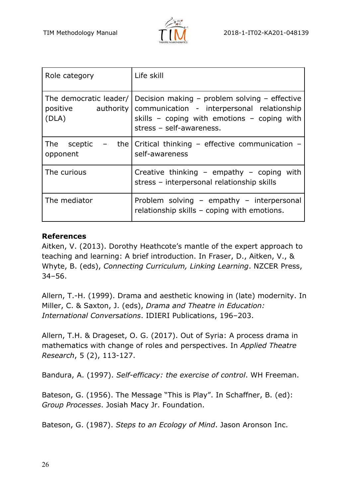

| Role category                        | Life skill                                                                                                                                                                                                               |
|--------------------------------------|--------------------------------------------------------------------------------------------------------------------------------------------------------------------------------------------------------------------------|
| (DLA)                                | The democratic leader/   Decision making $-$ problem solving $-$ effective<br>positive authority   communication - interpersonal relationship<br>skills - coping with emotions - coping with<br>stress - self-awareness. |
| The sceptic $-$<br>the l<br>opponent | Critical thinking - effective communication -<br>self-awareness                                                                                                                                                          |
| The curious                          | Creative thinking - empathy - coping with<br>stress - interpersonal relationship skills                                                                                                                                  |
| The mediator                         | Problem solving - empathy - interpersonal<br>relationship skills - coping with emotions.                                                                                                                                 |

#### **References**

Aitken, V. (2013). Dorothy Heathcote's mantle of the expert approach to teaching and learning: A brief introduction. In Fraser, D., Aitken, V., & Whyte, B. (eds), *Connecting Curriculum, Linking Learning*. NZCER Press, 34–56.

Allern, T.-H. (1999). Drama and aesthetic knowing in (late) modernity. In Miller, C. & Saxton, J. (eds), *Drama and Theatre in Education: International Conversations*. IDIERI Publications, 196–203.

Allern, T.H. & Drageset, O. G. (2017). Out of Syria: A process drama in mathematics with change of roles and perspectives. In *Applied Theatre Research*, 5 (2), 113-127.

Bandura, A. (1997). *Self-efficacy: the exercise of control*. WH Freeman.

Bateson, G. (1956). The Message "This is Play". In Schaffner, B. (ed): *Group Processes*. Josiah Macy Jr. Foundation.

Bateson, G. (1987). *Steps to an Ecology of Mind*. Jason Aronson Inc.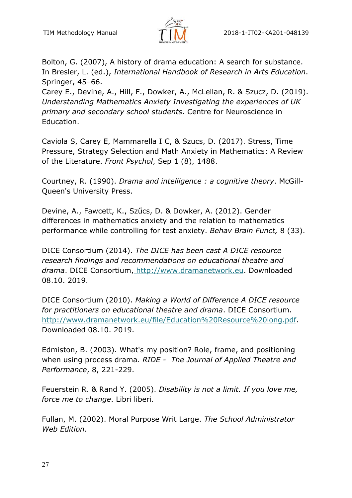

Bolton, G. (2007), A history of drama education: A search for substance. In Bresler, L. (ed.), *International Handbook of Research in Arts Education*. Springer, 45–66.

Carey E., Devine, A., Hill, F., Dowker, A., McLellan, R. & Szucz, D. (2019). *Understanding Mathematics Anxiety Investigating the experiences of UK primary and secondary school students*. Centre for Neuroscience in Education.

Caviola S, Carey E, Mammarella I C, & Szucs, D. (2017). Stress, Time Pressure, Strategy Selection and Math Anxiety in Mathematics: A Review of the Literature. *Front Psychol*, Sep 1 (8), 1488.

Courtney, R. (1990). *Drama and intelligence : a cognitive theory*. McGill-Queen's University Press.

Devine, A., Fawcett, K., Szűcs, D. & Dowker, A. (2012). Gender differences in mathematics anxiety and the relation to mathematics performance while controlling for test anxiety. *Behav Brain Funct,* 8 (33).

DICE Consortium (2014). *The DICE has been cast A DICE resource research findings and recommendations on educational theatre and drama*. DICE Consortium, http://www.dramanetwork.eu. Downloaded 08.10. 2019.

DICE Consortium (2010). *Making a World of Difference A DICE resource for practitioners on educational theatre and drama*. DICE Consortium. http://www.dramanetwork.eu/file/Education%20Resource%20long.pdf. Downloaded 08.10. 2019.

Edmiston, B. (2003). What's my position? Role, frame, and positioning when using process drama. *RIDE - The Journal of Applied Theatre and Performance*, 8, 221-229.

Feuerstein R. & Rand Y. (2005). *Disability is not a limit. If you love me, force me to change*. Libri liberi.

Fullan, M. (2002). Moral Purpose Writ Large. *The School Administrator Web Edition*.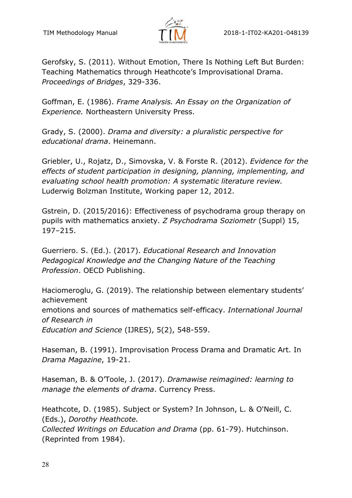

Gerofsky, S. (2011). Without Emotion, There Is Nothing Left But Burden: Teaching Mathematics through Heathcote's Improvisational Drama. *Proceedings of Bridges*, 329-336.

Goffman, E. (1986). *Frame Analysis. An Essay on the Organization of Experience.* Northeastern University Press.

Grady, S. (2000). *Drama and diversity: a pluralistic perspective for educational drama*. Heinemann.

Griebler, U., Rojatz, D., Simovska, V. & Forste R. (2012). *Evidence for the effects of student participation in designing, planning, implementing, and evaluating school health promotion: A systematic literature review.* Luderwig Bolzman Institute, Working paper 12, 2012.

Gstrein, D. (2015/2016): Effectiveness of psychodrama group therapy on pupils with mathematics anxiety. *Z Psychodrama Soziometr* (Suppl) 15, 197–215.

Guerriero. S. (Ed.). (2017). *Educational Research and Innovation Pedagogical Knowledge and the Changing Nature of the Teaching Profession*. OECD Publishing.

Haciomeroglu, G. (2019). The relationship between elementary students' achievement emotions and sources of mathematics self-efficacy. *International Journal of Research in Education and Science* (IJRES), 5(2), 548-559.

Haseman, B. (1991). Improvisation Process Drama and Dramatic Art. In *Drama Magazine*, 19-21.

Haseman, B. & O'Toole, J. (2017). *Dramawise reimagined: learning to manage the elements of drama*. Currency Press.

Heathcote, D. (1985). Subject or System? In Johnson, L. & O'Neill, C. (Eds.), *Dorothy Heathcote.* 

*Collected Writings on Education and Drama* (pp. 61-79). Hutchinson. (Reprinted from 1984).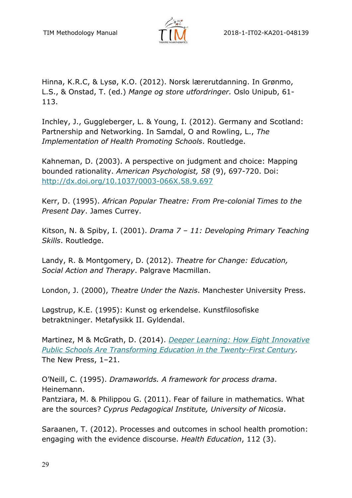

Hinna, K.R.C, & Lysø, K.O. (2012). Norsk lærerutdanning. In Grønmo, L.S., & Onstad, T. (ed.) *Mange og store utfordringer.* Oslo Unipub, 61- 113.

Inchley, J., Guggleberger, L. & Young, I. (2012). Germany and Scotland: Partnership and Networking. In Samdal, O and Rowling, L., *The Implementation of Health Promoting Schools*. Routledge.

Kahneman, D. (2003). A perspective on judgment and choice: Mapping bounded rationality. *American Psychologist, 58* (9), 697-720. Doi: http://dx.doi.org/10.1037/0003-066X.58.9.697

Kerr, D. (1995). *African Popular Theatre: From Pre-colonial Times to the Present Day*. James Currey.

Kitson, N. & Spiby, I. (2001). *Drama 7 – 11: Developing Primary Teaching Skills*. Routledge.

Landy, R. & Montgomery, D. (2012). *Theatre for Change: Education, Social Action and Therapy*. Palgrave Macmillan.

London, J. (2000), *Theatre Under the Nazis*. Manchester University Press.

Løgstrup, K.E. (1995): Kunst og erkendelse. Kunstfilosofiske betraktninger. Metafysikk II. Gyldendal.

Martinez, M & McGrath, D. (2014). *Deeper Learning: How Eight Innovative Public Schools Are Transforming Education in the Twenty-First Century.*  The New Press, 1–21.

O'Neill, C. (1995). *Dramaworlds. A framework for process drama*. Heinemann.

Pantziara, M. & Philippou G. (2011). Fear of failure in mathematics. What are the sources? *Cyprus Pedagogical Institute, University of Nicosia*.

Saraanen, T. (2012). Processes and outcomes in school health promotion: engaging with the evidence discourse. *Health Education*, 112 (3).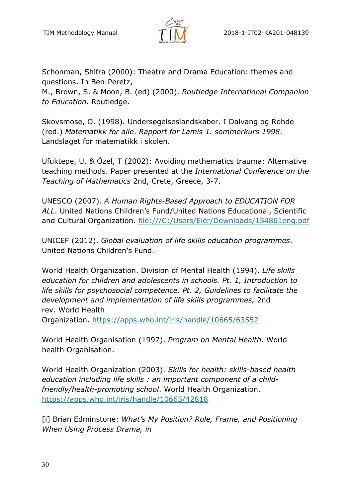

Schonman, Shifra (2000): Theatre and Drama Education: themes and questions. In Ben-Peretz,

M., Brown, S. & Moon, B. (ed) (2000). *Routledge International Companion to Education.* Routledge.

Skovsmose, O. (1998). Undersøgelseslandskaber. I Dalvang og Rohde (red.) *Matematikk for alle*. *Rapport for Lamis 1. sommerkurs 1998*. Landslaget for matematikk i skolen.

Ufuktepe, U. & Özel, T (2002): Avoiding mathematics trauma: Alternative teaching methods. Paper presented at the *International Conference on the Teaching of Mathematics* 2nd, Crete, Greece, 3-7.

UNESCO (2007). *A Human Rights-Based Approach to EDUCATION FOR ALL*. United Nations Children's Fund/United Nations Educational, Scientific and Cultural Organization. file:///C:/Users/Eier/Downloads/154861eng.pdf

UNICEF (2012). *Global evaluation of life skills education programmes*. United Nations Children's Fund.

World Health Organization. Division of Mental Health (1994). *Life skills education for children and adolescents in schools. Pt. 1, Introduction to life skills for psychosocial competence. Pt. 2, Guidelines to facilitate the development and implementation of life skills programmes,* 2nd rev. World Health

Organization. https://apps.who.int/iris/handle/10665/63552

World Health Organisation (1997). *Program on Mental Health*. World health Organisation.

World Health Organization (2003). *Skills for health: skills-based health education including life skills : an important component of a childfriendly/health-promoting school*. World Health Organization. https://apps.who.int/iris/handle/10665/42818

[i] Brian Edminstone: *What's My Position? Role, Frame, and Positioning When Using Process Drama, in*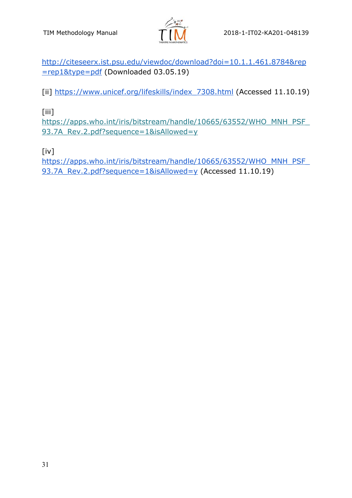

http://citeseerx.ist.psu.edu/viewdoc/download?doi=10.1.1.461.8784&rep =rep1&type=pdf (Downloaded 03.05.19)

[ii] https://www.unicef.org/lifeskills/index\_7308.html (Accessed 11.10.19)

[iii]

https://apps.who.int/iris/bitstream/handle/10665/63552/WHO\_MNH\_PSF\_ 93.7A\_Rev.2.pdf?sequence=1&isAllowed=y

[iv]

https://apps.who.int/iris/bitstream/handle/10665/63552/WHO\_MNH\_PSF\_ 93.7A\_Rev.2.pdf?sequence=1&isAllowed=y (Accessed 11.10.19)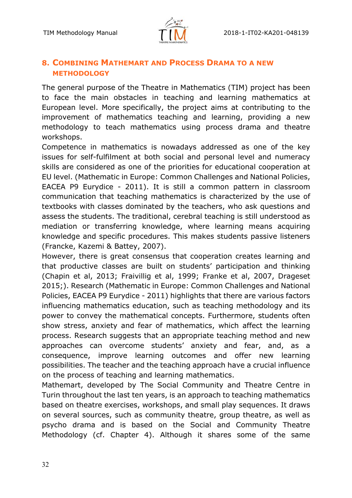

## **8. COMBINING MATHEMART AND PROCESS DRAMA TO A NEW METHODOLOGY**

The general purpose of the Theatre in Mathematics (TIM) project has been to face the main obstacles in teaching and learning mathematics at European level. More specifically, the project aims at contributing to the improvement of mathematics teaching and learning, providing a new methodology to teach mathematics using process drama and theatre workshops.

Competence in mathematics is nowadays addressed as one of the key issues for self-fulfilment at both social and personal level and numeracy skills are considered as one of the priorities for educational cooperation at EU level. (Mathematic in Europe: Common Challenges and National Policies, EACEA P9 Eurydice - 2011). It is still a common pattern in classroom communication that teaching mathematics is characterized by the use of textbooks with classes dominated by the teachers, who ask questions and assess the students. The traditional, cerebral teaching is still understood as mediation or transferring knowledge, where learning means acquiring knowledge and specific procedures. This makes students passive listeners (Francke, Kazemi & Battey, 2007).

However, there is great consensus that cooperation creates learning and that productive classes are built on students' participation and thinking (Chapin et al, 2013; Fraivillig et al, 1999; Franke et al, 2007, Drageset 2015;). Research (Mathematic in Europe: Common Challenges and National Policies, EACEA P9 Eurydice - 2011) highlights that there are various factors influencing mathematics education, such as teaching methodology and its power to convey the mathematical concepts. Furthermore, students often show stress, anxiety and fear of mathematics, which affect the learning process. Research suggests that an appropriate teaching method and new approaches can overcome students' anxiety and fear, and, as a consequence, improve learning outcomes and offer new learning possibilities. The teacher and the teaching approach have a crucial influence on the process of teaching and learning mathematics.

Mathemart, developed by The Social Community and Theatre Centre in Turin throughout the last ten years, is an approach to teaching mathematics based on theatre exercises, workshops, and small play sequences. It draws on several sources, such as community theatre, group theatre, as well as psycho drama and is based on the Social and Community Theatre Methodology (cf. Chapter 4). Although it shares some of the same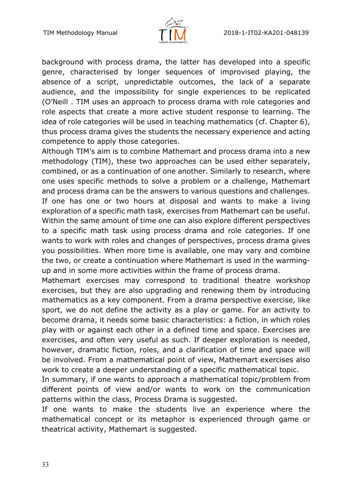

background with process drama, the latter has developed into a specific genre, characterised by longer sequences of improvised playing, the absence of a script, unpredictable outcomes, the lack of a separate audience, and the impossibility for single experiences to be replicated (O'Neill . TIM uses an approach to process drama with role categories and role aspects that create a more active student response to learning. The idea of role categories will be used in teaching mathematics (cf. Chapter 6), thus process drama gives the students the necessary experience and acting competence to apply those categories.

Although TIM's aim is to combine Mathemart and process drama into a new methodology (TIM), these two approaches can be used either separately, combined, or as a continuation of one another. Similarly to research, where one uses specific methods to solve a problem or a challenge, Mathemart and process drama can be the answers to various questions and challenges. If one has one or two hours at disposal and wants to make a living exploration of a specific math task, exercises from Mathemart can be useful. Within the same amount of time one can also explore different perspectives to a specific math task using process drama and role categories. If one wants to work with roles and changes of perspectives, process drama gives you possibilities. When more time is available, one may vary and combine the two, or create a continuation where Mathemart is used in the warmingup and in some more activities within the frame of process drama.

Mathemart exercises may correspond to traditional theatre workshop exercises, but they are also upgrading and renewing them by introducing mathematics as a key component. From a drama perspective exercise, like sport, we do not define the activity as a play or game. For an activity to become drama, it needs some basic characteristics: a fiction, in which roles play with or against each other in a defined time and space. Exercises are exercises, and often very useful as such. If deeper exploration is needed, however, dramatic fiction, roles, and a clarification of time and space will be involved. From a mathematical point of view, Mathemart exercises also work to create a deeper understanding of a specific mathematical topic.

In summary, if one wants to approach a mathematical topic/problem from different points of view and/or wants to work on the communication patterns within the class, Process Drama is suggested.

If one wants to make the students live an experience where the mathematical concept or its metaphor is experienced through game or theatrical activity, Mathemart is suggested.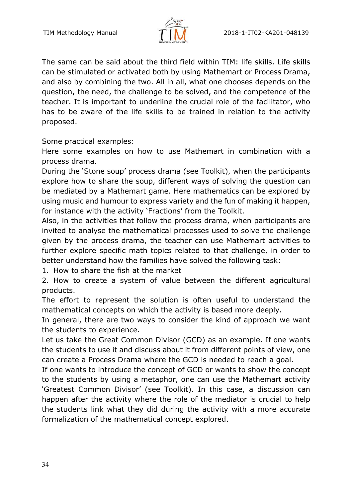

The same can be said about the third field within TIM: life skills. Life skills can be stimulated or activated both by using Mathemart or Process Drama, and also by combining the two. All in all, what one chooses depends on the question, the need, the challenge to be solved, and the competence of the teacher. It is important to underline the crucial role of the facilitator, who has to be aware of the life skills to be trained in relation to the activity proposed.

Some practical examples:

Here some examples on how to use Mathemart in combination with a process drama.

During the 'Stone soup' process drama (see Toolkit), when the participants explore how to share the soup, different ways of solving the question can be mediated by a Mathemart game. Here mathematics can be explored by using music and humour to express variety and the fun of making it happen, for instance with the activity 'Fractions' from the Toolkit.

Also, in the activities that follow the process drama, when participants are invited to analyse the mathematical processes used to solve the challenge given by the process drama, the teacher can use Mathemart activities to further explore specific math topics related to that challenge, in order to better understand how the families have solved the following task:

1. How to share the fish at the market

2. How to create a system of value between the different agricultural products.

The effort to represent the solution is often useful to understand the mathematical concepts on which the activity is based more deeply.

In general, there are two ways to consider the kind of approach we want the students to experience.

Let us take the Great Common Divisor (GCD) as an example. If one wants the students to use it and discuss about it from different points of view, one can create a Process Drama where the GCD is needed to reach a goal.

If one wants to introduce the concept of GCD or wants to show the concept to the students by using a metaphor, one can use the Mathemart activity 'Greatest Common Divisor' (see Toolkit). In this case, a discussion can happen after the activity where the role of the mediator is crucial to help the students link what they did during the activity with a more accurate formalization of the mathematical concept explored.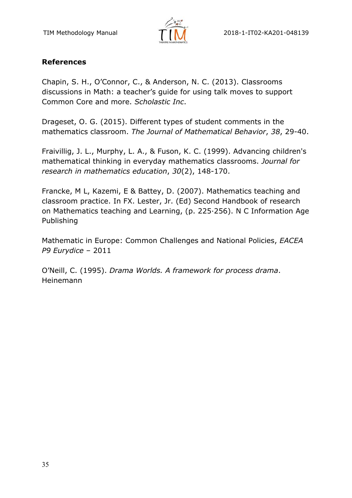

# **References**

Chapin, S. H., O'Connor, C., & Anderson, N. C. (2013). Classrooms discussions in Math: a teacher's guide for using talk moves to support Common Core and more. *Scholastic Inc*.

Drageset, O. G. (2015). Different types of student comments in the mathematics classroom. *The Journal of Mathematical Behavior*, *38*, 29-40.

Fraivillig, J. L., Murphy, L. A., & Fuson, K. C. (1999). Advancing children's mathematical thinking in everyday mathematics classrooms. *Journal for research in mathematics education*, *30*(2), 148-170.

Francke, M L, Kazemi, E & Battey, D. (2007). Mathematics teaching and classroom practice. In FX. Lester, Jr. (Ed) Second Handbook of research on Mathematics teaching and Learning, (p. 225·256). N C Information Age Publishing

Mathematic in Europe: Common Challenges and National Policies, *EACEA P9 Eurydice* – 2011

O'Neill, C. (1995). *Drama Worlds. A framework for process drama*. Heinemann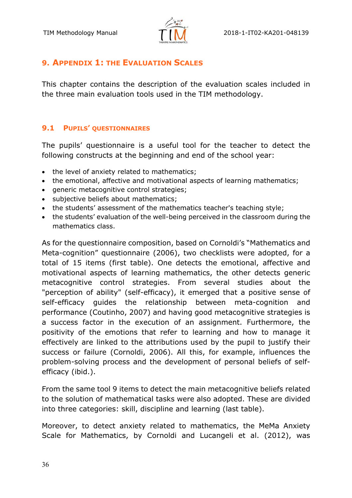

# **9. APPENDIX 1: THE EVALUATION SCALES**

This chapter contains the description of the evaluation scales included in the three main evaluation tools used in the TIM methodology.

#### **9.1 PUPILS' QUESTIONNAIRES**

The pupils' questionnaire is a useful tool for the teacher to detect the following constructs at the beginning and end of the school year:

- the level of anxiety related to mathematics;
- the emotional, affective and motivational aspects of learning mathematics;
- generic metacognitive control strategies;
- subjective beliefs about mathematics;
- the students' assessment of the mathematics teacher's teaching style;
- the students' evaluation of the well-being perceived in the classroom during the mathematics class.

As for the questionnaire composition, based on Cornoldi's "Mathematics and Meta-cognition" questionnaire (2006), two checklists were adopted, for a total of 15 items (first table). One detects the emotional, affective and motivational aspects of learning mathematics, the other detects generic metacognitive control strategies. From several studies about the "perception of ability" (self-efficacy), it emerged that a positive sense of self-efficacy guides the relationship between meta-cognition and performance (Coutinho, 2007) and having good metacognitive strategies is a success factor in the execution of an assignment. Furthermore, the positivity of the emotions that refer to learning and how to manage it effectively are linked to the attributions used by the pupil to justify their success or failure (Cornoldi, 2006). All this, for example, influences the problem-solving process and the development of personal beliefs of selfefficacy (ibid.).

From the same tool 9 items to detect the main metacognitive beliefs related to the solution of mathematical tasks were also adopted. These are divided into three categories: skill, discipline and learning (last table).

Moreover, to detect anxiety related to mathematics, the MeMa Anxiety Scale for Mathematics, by Cornoldi and Lucangeli et al. (2012), was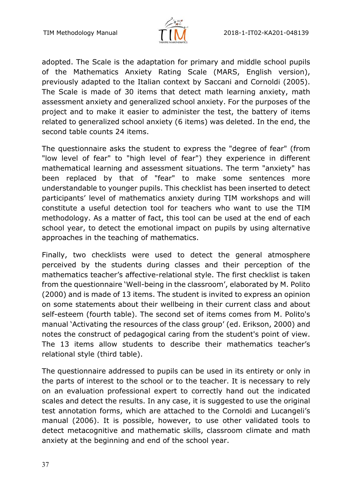

adopted. The Scale is the adaptation for primary and middle school pupils of the Mathematics Anxiety Rating Scale (MARS, English version), previously adapted to the Italian context by Saccani and Cornoldi (2005). The Scale is made of 30 items that detect math learning anxiety, math assessment anxiety and generalized school anxiety. For the purposes of the project and to make it easier to administer the test, the battery of items related to generalized school anxiety (6 items) was deleted. In the end, the second table counts 24 items.

The questionnaire asks the student to express the "degree of fear" (from "low level of fear" to "high level of fear") they experience in different mathematical learning and assessment situations. The term "anxiety" has been replaced by that of "fear" to make some sentences more understandable to younger pupils. This checklist has been inserted to detect participants' level of mathematics anxiety during TIM workshops and will constitute a useful detection tool for teachers who want to use the TIM methodology. As a matter of fact, this tool can be used at the end of each school year, to detect the emotional impact on pupils by using alternative approaches in the teaching of mathematics.

Finally, two checklists were used to detect the general atmosphere perceived by the students during classes and their perception of the mathematics teacher's affective-relational style. The first checklist is taken from the questionnaire 'Well-being in the classroom', elaborated by M. Polito (2000) and is made of 13 items. The student is invited to express an opinion on some statements about their wellbeing in their current class and about self-esteem (fourth table). The second set of items comes from M. Polito's manual 'Activating the resources of the class group' (ed. Erikson, 2000) and notes the construct of pedagogical caring from the student's point of view. The 13 items allow students to describe their mathematics teacher's relational style (third table).

The questionnaire addressed to pupils can be used in its entirety or only in the parts of interest to the school or to the teacher. It is necessary to rely on an evaluation professional expert to correctly hand out the indicated scales and detect the results. In any case, it is suggested to use the original test annotation forms, which are attached to the Cornoldi and Lucangeli's manual (2006). It is possible, however, to use other validated tools to detect metacognitive and mathematic skills, classroom climate and math anxiety at the beginning and end of the school year.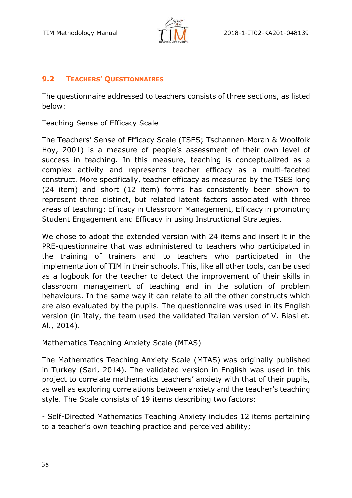

# **9.2 TEACHERS' QUESTIONNAIRES**

The questionnaire addressed to teachers consists of three sections, as listed below:

# Teaching Sense of Efficacy Scale

The Teachers' Sense of Efficacy Scale (TSES; Tschannen-Moran & Woolfolk Hoy, 2001) is a measure of people's assessment of their own level of success in teaching. In this measure, teaching is conceptualized as a complex activity and represents teacher efficacy as a multi-faceted construct. More specifically, teacher efficacy as measured by the TSES long (24 item) and short (12 item) forms has consistently been shown to represent three distinct, but related latent factors associated with three areas of teaching: Efficacy in Classroom Management, Efficacy in promoting Student Engagement and Efficacy in using Instructional Strategies.

We chose to adopt the extended version with 24 items and insert it in the PRE-questionnaire that was administered to teachers who participated in the training of trainers and to teachers who participated in the implementation of TIM in their schools. This, like all other tools, can be used as a logbook for the teacher to detect the improvement of their skills in classroom management of teaching and in the solution of problem behaviours. In the same way it can relate to all the other constructs which are also evaluated by the pupils. The questionnaire was used in its English version (in Italy, the team used the validated Italian version of V. Biasi et. Al., 2014).

## Mathematics Teaching Anxiety Scale (MTAS)

The Mathematics Teaching Anxiety Scale (MTAS) was originally published in Turkey (Sari, 2014). The validated version in English was used in this project to correlate mathematics teachers' anxiety with that of their pupils, as well as exploring correlations between anxiety and the teacher's teaching style. The Scale consists of 19 items describing two factors:

- Self-Directed Mathematics Teaching Anxiety includes 12 items pertaining to a teacher's own teaching practice and perceived ability;